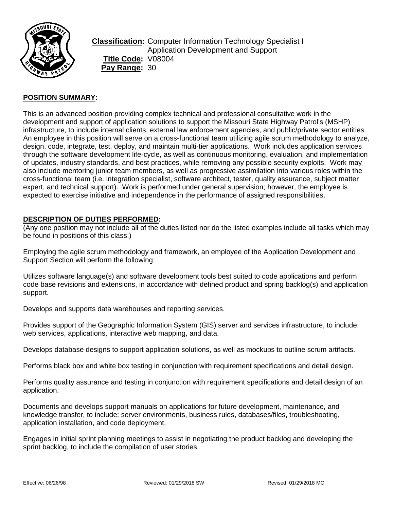

**Classification:** Computer Information Technology Specialist I Application Development and Support **Title Code:** V08004 Pay Range: 30

# **POSITION SUMMARY:**

This is an advanced position providing complex technical and professional consultative work in the development and support of application solutions to support the Missouri State Highway Patrol's (MSHP) infrastructure, to include internal clients, external law enforcement agencies, and public/private sector entities. An employee in this position will serve on a cross-functional team utilizing agile scrum methodology to analyze, design, code, integrate, test, deploy, and maintain multi-tier applications. Work includes application services through the software development life-cycle, as well as continuous monitoring, evaluation, and implementation of updates, industry standards, and best practices, while removing any possible security exploits. Work may also include mentoring junior team members, as well as progressive assimilation into various roles within the cross-functional team (i.e. integration specialist, software architect, tester, quality assurance, subject matter expert, and technical support). Work is performed under general supervision; however, the employee is expected to exercise initiative and independence in the performance of assigned responsibilities.

### **DESCRIPTION OF DUTIES PERFORMED:**

(Any one position may not include all of the duties listed nor do the listed examples include all tasks which may be found in positions of this class.)

Employing the agile scrum methodology and framework, an employee of the Application Development and Support Section will perform the following:

Utilizes software language(s) and software development tools best suited to code applications and perform code base revisions and extensions, in accordance with defined product and spring backlog(s) and application support.

Develops and supports data warehouses and reporting services.

Provides support of the Geographic Information System (GIS) server and services infrastructure, to include: web services, applications, interactive web mapping, and data.

Develops database designs to support application solutions, as well as mockups to outline scrum artifacts.

Performs black box and white box testing in conjunction with requirement specifications and detail design.

Performs quality assurance and testing in conjunction with requirement specifications and detail design of an application.

Documents and develops support manuals on applications for future development, maintenance, and knowledge transfer, to include: server environments, business rules, databases/files, troubleshooting, application installation, and code deployment.

Engages in initial sprint planning meetings to assist in negotiating the product backlog and developing the sprint backlog, to include the compilation of user stories.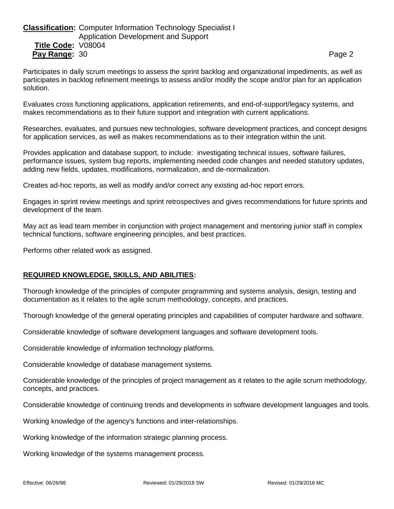# **Classification:** Computer Information Technology Specialist I Application Development and Support **Title Code:** V08004 **Pay Range:** 30 **Page 2 Page 2 Page 2 Page 2 Page 2**

Participates in daily scrum meetings to assess the sprint backlog and organizational impediments, as well as participates in backlog refinement meetings to assess and/or modify the scope and/or plan for an application solution.

Evaluates cross functioning applications, application retirements, and end-of-support/legacy systems, and makes recommendations as to their future support and integration with current applications.

Researches, evaluates, and pursues new technologies, software development practices, and concept designs for application services, as well as makes recommendations as to their integration within the unit.

Provides application and database support, to include: investigating technical issues, software failures. performance issues, system bug reports, implementing needed code changes and needed statutory updates, adding new fields, updates, modifications, normalization, and de-normalization.

Creates ad-hoc reports, as well as modify and/or correct any existing ad-hoc report errors.

Engages in sprint review meetings and sprint retrospectives and gives recommendations for future sprints and development of the team.

May act as lead team member in conjunction with project management and mentoring junior staff in complex technical functions, software engineering principles, and best practices.

Performs other related work as assigned.

### **REQUIRED KNOWLEDGE, SKILLS, AND ABILITIES:**

Thorough knowledge of the principles of computer programming and systems analysis, design, testing and documentation as it relates to the agile scrum methodology, concepts, and practices.

Thorough knowledge of the general operating principles and capabilities of computer hardware and software.

Considerable knowledge of software development languages and software development tools.

Considerable knowledge of information technology platforms.

Considerable knowledge of database management systems.

Considerable knowledge of the principles of project management as it relates to the agile scrum methodology, concepts, and practices.

Considerable knowledge of continuing trends and developments in software development languages and tools.

Working knowledge of the agency's functions and inter-relationships.

Working knowledge of the information strategic planning process.

Working knowledge of the systems management process.